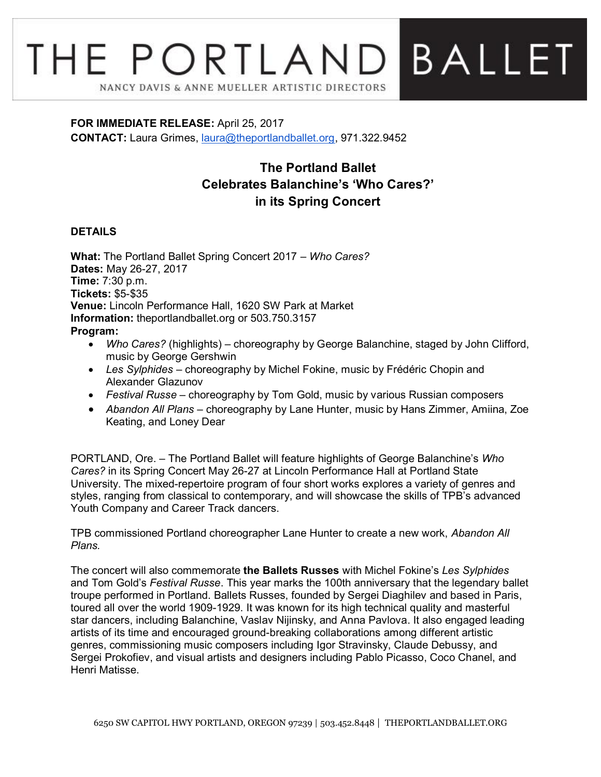## THE PORTLAND **BALLET** NANCY DAVIS & ANNE MUELLER ARTISTIC DIRECTORS

## **FOR IMMEDIATE RELEASE:** April 25, 2017 **CONTACT:** Laura Grimes, [laura@theportlandballet.org,](mailto:laura@theportlandballet.org) 971.322.9452

## **The Portland Ballet Celebrates Balanchine's 'Who Cares?' in its Spring Concert**

## **DETAILS**

**What:** The Portland Ballet Spring Concert 2017 – *Who Cares?* **Dates:** May 26-27, 2017 **Time:** 7:30 p.m. **Tickets:** \$5-\$35 **Venue:** Lincoln Performance Hall, 1620 SW Park at Market **Information:** [theportlandballet.org](http://theportlandballet.org/) or [503.750.3157](tel:(503)%20750-3157) **Program:**

- *Who Cares?* (highlights) choreography by George Balanchine, staged by John Clifford, music by George Gershwin
- *Les Sylphides* choreography by Michel Fokine, music by Frédéric Chopin and Alexander Glazunov
- *Festival Russe* choreography by Tom Gold, music by various Russian composers
- *Abandon All Plans* choreography by Lane Hunter, music by Hans Zimmer, Amiina, Zoe Keating, and Loney Dear

PORTLAND, Ore. – The Portland Ballet will feature highlights of George Balanchine's *Who Cares?* in its Spring Concert May 26-27 at Lincoln Performance Hall at Portland State University. The mixed-repertoire program of four short works explores a variety of genres and styles, ranging from classical to contemporary, and will showcase the skills of TPB's advanced Youth Company and Career Track dancers.

TPB commissioned Portland choreographer Lane Hunter to create a new work, *Abandon All Plans.*

The concert will also commemorate **the Ballets Russes** with Michel Fokine's *Les Sylphides* and Tom Gold's *Festival Russe*. This year marks the 100th anniversary that the legendary ballet troupe performed in Portland. Ballets Russes, founded by Sergei Diaghilev and based in Paris, toured all over the world 1909-1929. It was known for its high technical quality and masterful star dancers, including Balanchine, Vaslav Nijinsky, and Anna Pavlova. It also engaged leading artists of its time and encouraged ground-breaking collaborations among different artistic genres, commissioning music composers including Igor Stravinsky, Claude Debussy, and Sergei Prokofiev, and visual artists and designers including Pablo Picasso, Coco Chanel, and Henri Matisse.